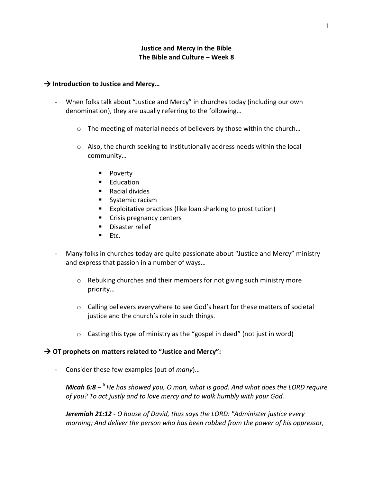# **Justice and Mercy in the Bible The Bible and Culture – Week 8**

#### **Introduction to Justice and Mercy…**

- When folks talk about "Justice and Mercy" in churches today (including our own denomination), they are usually referring to the following…
	- $\circ$  The meeting of material needs of believers by those within the church...
	- o Also, the church seeking to institutionally address needs within the local community…
		- **Poverty**
		- **Education**
		- Racial divides
		- **Systemic racism**
		- Exploitative practices (like loan sharking to prostitution)
		- Crisis pregnancy centers
		- **Disaster relief**
		- $E$ Ftc.
- Many folks in churches today are quite passionate about "Justice and Mercy" ministry and express that passion in a number of ways…
	- o Rebuking churches and their members for not giving such ministry more priority…
	- o Calling believers everywhere to see God's heart for these matters of societal justice and the church's role in such things.
	- o Casting this type of ministry as the "gospel in deed" (not just in word)

### **OT prophets on matters related to "Justice and Mercy":**

- Consider these few examples (out of *many*)…

*Micah 6:8 – <sup>8</sup>He has showed you, O man, what is good. And what does the LORD require of you? To act justly and to love mercy and to walk humbly with your God.*

*Jeremiah 21:12 - O house of David, thus says the LORD: "Administer justice every morning; And deliver the person who has been robbed from the power of his oppressor,*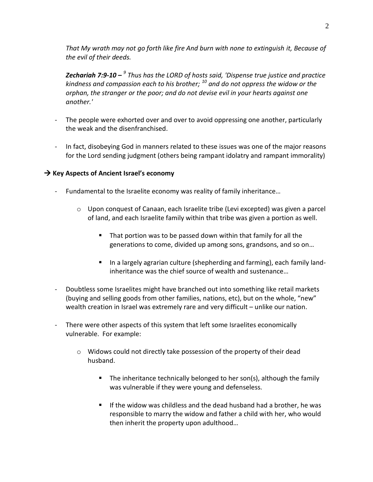*That My wrath may not go forth like fire And burn with none to extinguish it, Because of the evil of their deeds.*

*Zechariah 7:9-10 – 9 Thus has the LORD of hosts said, 'Dispense true justice and practice kindness and compassion each to his brother; <sup>10</sup> and do not oppress the widow or the orphan, the stranger or the poor; and do not devise evil in your hearts against one another.'*

- The people were exhorted over and over to avoid oppressing one another, particularly the weak and the disenfranchised.
- In fact, disobeying God in manners related to these issues was one of the major reasons for the Lord sending judgment (others being rampant idolatry and rampant immorality)

# **→ Key Aspects of Ancient Israel's economy**

- Fundamental to the Israelite economy was reality of family inheritance...
	- $\circ$  Upon conquest of Canaan, each Israelite tribe (Levi excepted) was given a parcel of land, and each Israelite family within that tribe was given a portion as well.
		- That portion was to be passed down within that family for all the generations to come, divided up among sons, grandsons, and so on…
		- In a largely agrarian culture (shepherding and farming), each family landinheritance was the chief source of wealth and sustenance…
- Doubtless some Israelites might have branched out into something like retail markets (buying and selling goods from other families, nations, etc), but on the whole, "new" wealth creation in Israel was extremely rare and very difficult – unlike our nation.
- There were other aspects of this system that left some Israelites economically vulnerable. For example:
	- o Widows could not directly take possession of the property of their dead husband.
		- The inheritance technically belonged to her son(s), although the family was vulnerable if they were young and defenseless.
		- If the widow was childless and the dead husband had a brother, he was responsible to marry the widow and father a child with her, who would then inherit the property upon adulthood…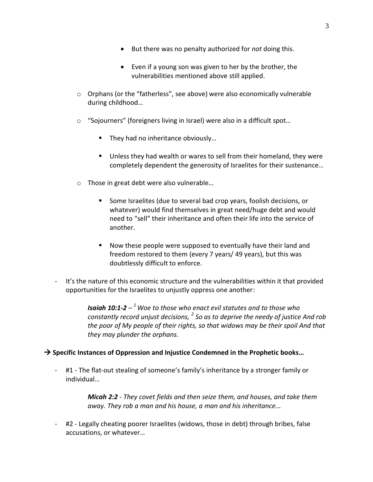- But there was no penalty authorized for *not* doing this.
- Even if a young son was given to her by the brother, the vulnerabilities mentioned above still applied.
- $\circ$  Orphans (or the "fatherless", see above) were also economically vulnerable during childhood…
- o "Sojourners" (foreigners living in Israel) were also in a difficult spot…
	- They had no inheritance obviously...
	- Unless they had wealth or wares to sell from their homeland, they were completely dependent the generosity of Israelites for their sustenance…
- o Those in great debt were also vulnerable…
	- Some Israelites (due to several bad crop years, foolish decisions, or whatever) would find themselves in great need/huge debt and would need to "sell" their inheritance and often their life into the service of another.
	- Now these people were supposed to eventually have their land and freedom restored to them (every 7 years/ 49 years), but this was doubtlessly difficult to enforce.
- It's the nature of this economic structure and the vulnerabilities within it that provided opportunities for the Israelites to unjustly oppress one another:

*Isaiah 10:1-2 – <sup>1</sup>Woe to those who enact evil statutes and to those who constantly record unjust decisions, <sup>2</sup> So as to deprive the needy of justice And rob the poor of My people of their rights, so that widows may be their spoil And that they may plunder the orphans.*

### → Specific Instances of Oppression and Injustice Condemned in the Prophetic books...

- #1 - The flat-out stealing of someone's family's inheritance by a stronger family or individual…

> *Micah 2:2 - They covet fields and then seize them, and houses, and take them away. They rob a man and his house, a man and his inheritance...*

- #2 - Legally cheating poorer Israelites (widows, those in debt) through bribes, false accusations, or whatever…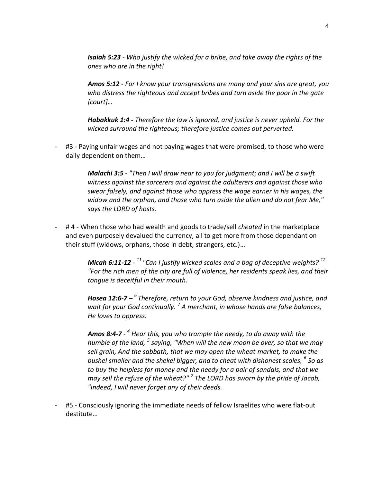*Isaiah 5:23 - Who justify the wicked for a bribe, and take away the rights of the ones who are in the right!*

*Amos 5:12 - For I know your transgressions are many and your sins are great, you who distress the righteous and accept bribes and turn aside the poor in the gate [court]…*

*Habakkuk 1:4 - Therefore the law is ignored, and justice is never upheld. For the wicked surround the righteous; therefore justice comes out perverted.*

- #3 - Paying unfair wages and not paying wages that were promised, to those who were daily dependent on them…

> *Malachi 3:5 - "Then I will draw near to you for judgment; and I will be a swift witness against the sorcerers and against the adulterers and against those who swear falsely, and against those who oppress the wage earner in his wages, the widow and the orphan, and those who turn aside the alien and do not fear Me," says the LORD of hosts.*

- # 4 - When those who had wealth and goods to trade/sell *cheated* in the marketplace and even purposely devalued the currency, all to get more from those dependant on their stuff (widows, orphans, those in debt, strangers, etc.)…

> *Micah 6:11-12 - <sup>11</sup>"Can I justify wicked scales and a bag of deceptive weights? <sup>12</sup> "For the rich men of the city are full of violence, her residents speak lies, and their tongue is deceitful in their mouth.*

> *Hosea 12:6-7 – <sup>6</sup>Therefore, return to your God, observe kindness and justice, and wait for your God continually. <sup>7</sup> A merchant, in whose hands are false balances, He loves to oppress.*

*Amos 8:4-7 - 4 Hear this, you who trample the needy, to do away with the humble of the land, <sup>5</sup> saying, "When will the new moon be over, so that we may sell grain, And the sabbath, that we may open the wheat market, to make the bushel smaller and the shekel bigger, and to cheat with dishonest scales, <sup>6</sup> So as to buy the helpless for money and the needy for a pair of sandals, and that we may sell the refuse of the wheat?" <sup>7</sup> The LORD has sworn by the pride of Jacob, "Indeed, I will never forget any of their deeds.*

- #5 - Consciously ignoring the immediate needs of fellow Israelites who were flat-out destitute…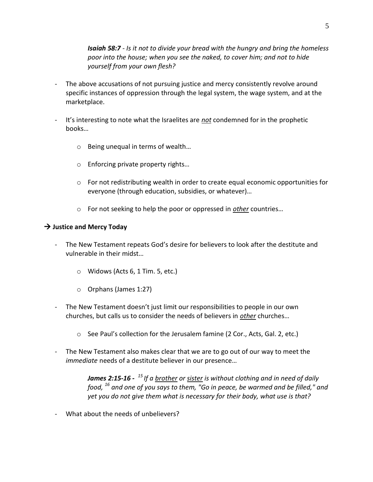*Isaiah 58:7 - Is it not to divide your bread with the hungry and bring the homeless poor into the house; when you see the naked, to cover him; and not to hide yourself from your own flesh?*

- The above accusations of not pursuing justice and mercy consistently revolve around specific instances of oppression through the legal system, the wage system, and at the marketplace.
- It's interesting to note what the Israelites are *not* condemned for in the prophetic books…
	- o Being unequal in terms of wealth…
	- o Enforcing private property rights…
	- o For not redistributing wealth in order to create equal economic opportunities for everyone (through education, subsidies, or whatever)…
	- o For not seeking to help the poor or oppressed in *other* countries…

# **Justice and Mercy Today**

- The New Testament repeats God's desire for believers to look after the destitute and vulnerable in their midst…
	- $\circ$  Widows (Acts 6, 1 Tim. 5, etc.)
	- o Orphans (James 1:27)
- The New Testament doesn't just limit our responsibilities to people in our own churches, but calls us to consider the needs of believers in *other* churches…
	- o See Paul's collection for the Jerusalem famine (2 Cor., Acts, Gal. 2, etc.)
- The New Testament also makes clear that we are to go out of our way to meet the *immediate* needs of a destitute believer in our presence…

*James 2:15-16 - <sup>15</sup>If a brother or sister is without clothing and in need of daily food, <sup>16</sup> and one of you says to them, "Go in peace, be warmed and be filled," and yet you do not give them what is necessary for their body, what use is that?*

What about the needs of unbelievers?